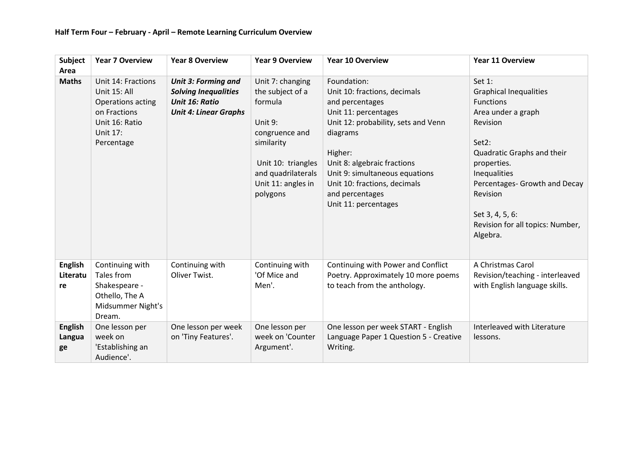| Subject<br>Area                  | <b>Year 7 Overview</b>                                                                                              | <b>Year 8 Overview</b>                                                                                      | <b>Year 9 Overview</b>                                                                                                                                                   | <b>Year 10 Overview</b>                                                                                                                                                                                                                                                                          | Year 11 Overview                                                                                                                                                                                                                                                                    |
|----------------------------------|---------------------------------------------------------------------------------------------------------------------|-------------------------------------------------------------------------------------------------------------|--------------------------------------------------------------------------------------------------------------------------------------------------------------------------|--------------------------------------------------------------------------------------------------------------------------------------------------------------------------------------------------------------------------------------------------------------------------------------------------|-------------------------------------------------------------------------------------------------------------------------------------------------------------------------------------------------------------------------------------------------------------------------------------|
| <b>Maths</b>                     | Unit 14: Fractions<br>Unit 15: All<br>Operations acting<br>on Fractions<br>Unit 16: Ratio<br>Unit 17:<br>Percentage | <b>Unit 3: Forming and</b><br><b>Solving Inequalities</b><br>Unit 16: Ratio<br><b>Unit 4: Linear Graphs</b> | Unit 7: changing<br>the subject of a<br>formula<br>Unit 9:<br>congruence and<br>similarity<br>Unit 10: triangles<br>and quadrilaterals<br>Unit 11: angles in<br>polygons | Foundation:<br>Unit 10: fractions, decimals<br>and percentages<br>Unit 11: percentages<br>Unit 12: probability, sets and Venn<br>diagrams<br>Higher:<br>Unit 8: algebraic fractions<br>Unit 9: simultaneous equations<br>Unit 10: fractions, decimals<br>and percentages<br>Unit 11: percentages | Set 1:<br><b>Graphical Inequalities</b><br><b>Functions</b><br>Area under a graph<br>Revision<br>Set2:<br>Quadratic Graphs and their<br>properties.<br>Inequalities<br>Percentages- Growth and Decay<br>Revision<br>Set 3, 4, 5, 6:<br>Revision for all topics: Number,<br>Algebra. |
| <b>English</b><br>Literatu<br>re | Continuing with<br>Tales from<br>Shakespeare -<br>Othello, The A<br>Midsummer Night's<br>Dream.                     | Continuing with<br>Oliver Twist.                                                                            | Continuing with<br>'Of Mice and<br>Men'.                                                                                                                                 | Continuing with Power and Conflict<br>Poetry. Approximately 10 more poems<br>to teach from the anthology.                                                                                                                                                                                        | A Christmas Carol<br>Revision/teaching - interleaved<br>with English language skills.                                                                                                                                                                                               |
| <b>English</b><br>Langua<br>ge   | One lesson per<br>week on<br>'Establishing an<br>Audience'.                                                         | One lesson per week<br>on 'Tiny Features'.                                                                  | One lesson per<br>week on 'Counter<br>Argument'.                                                                                                                         | One lesson per week START - English<br>Language Paper 1 Question 5 - Creative<br>Writing.                                                                                                                                                                                                        | Interleaved with Literature<br>lessons.                                                                                                                                                                                                                                             |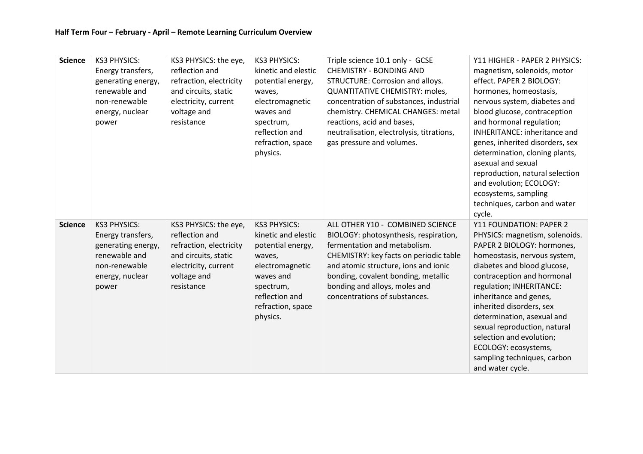| <b>Science</b> | <b>KS3 PHYSICS:</b><br>Energy transfers,<br>generating energy,<br>renewable and<br>non-renewable<br>energy, nuclear<br>power | KS3 PHYSICS: the eye,<br>reflection and<br>refraction, electricity<br>and circuits, static<br>electricity, current<br>voltage and<br>resistance | <b>KS3 PHYSICS:</b><br>kinetic and elestic<br>potential energy,<br>waves,<br>electromagnetic<br>waves and<br>spectrum,<br>reflection and<br>refraction, space<br>physics. | Triple science 10.1 only - GCSE<br><b>CHEMISTRY - BONDING AND</b><br>STRUCTURE: Corrosion and alloys.<br><b>QUANTITATIVE CHEMISTRY: moles,</b><br>concentration of substances, industrial<br>chemistry. CHEMICAL CHANGES: metal<br>reactions, acid and bases,<br>neutralisation, electrolysis, titrations,<br>gas pressure and volumes. | Y11 HIGHER - PAPER 2 PHYSICS:<br>magnetism, solenoids, motor<br>effect. PAPER 2 BIOLOGY:<br>hormones, homeostasis,<br>nervous system, diabetes and<br>blood glucose, contraception<br>and hormonal regulation;<br><b>INHERITANCE: inheritance and</b><br>genes, inherited disorders, sex<br>determination, cloning plants,<br>asexual and sexual<br>reproduction, natural selection<br>and evolution; ECOLOGY:<br>ecosystems, sampling<br>techniques, carbon and water<br>cycle. |
|----------------|------------------------------------------------------------------------------------------------------------------------------|-------------------------------------------------------------------------------------------------------------------------------------------------|---------------------------------------------------------------------------------------------------------------------------------------------------------------------------|-----------------------------------------------------------------------------------------------------------------------------------------------------------------------------------------------------------------------------------------------------------------------------------------------------------------------------------------|----------------------------------------------------------------------------------------------------------------------------------------------------------------------------------------------------------------------------------------------------------------------------------------------------------------------------------------------------------------------------------------------------------------------------------------------------------------------------------|
| <b>Science</b> | <b>KS3 PHYSICS:</b><br>Energy transfers,<br>generating energy,<br>renewable and<br>non-renewable<br>energy, nuclear<br>power | KS3 PHYSICS: the eye,<br>reflection and<br>refraction, electricity<br>and circuits, static<br>electricity, current<br>voltage and<br>resistance | <b>KS3 PHYSICS:</b><br>kinetic and elestic<br>potential energy,<br>waves,<br>electromagnetic<br>waves and<br>spectrum,<br>reflection and<br>refraction, space<br>physics. | ALL OTHER Y10 - COMBINED SCIENCE<br>BIOLOGY: photosynthesis, respiration,<br>fermentation and metabolism.<br>CHEMISTRY: key facts on periodic table<br>and atomic structure, ions and ionic<br>bonding, covalent bonding, metallic<br>bonding and alloys, moles and<br>concentrations of substances.                                    | Y11 FOUNDATION: PAPER 2<br>PHYSICS: magnetism, solenoids.<br>PAPER 2 BIOLOGY: hormones,<br>homeostasis, nervous system,<br>diabetes and blood glucose,<br>contraception and hormonal<br>regulation; INHERITANCE:<br>inheritance and genes,<br>inherited disorders, sex<br>determination, asexual and<br>sexual reproduction, natural<br>selection and evolution;<br>ECOLOGY: ecosystems,<br>sampling techniques, carbon<br>and water cycle.                                      |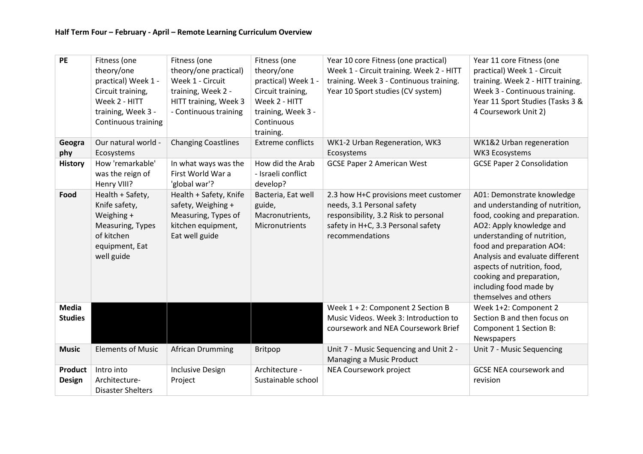| PE                              | Fitness (one<br>theory/one<br>practical) Week 1 -<br>Circuit training,<br>Week 2 - HITT<br>training, Week 3 -<br>Continuous training | Fitness (one<br>theory/one practical)<br>Week 1 - Circuit<br>training, Week 2 -<br>HITT training, Week 3<br>- Continuous training | Fitness (one<br>theory/one<br>practical) Week 1 -<br>Circuit training,<br>Week 2 - HITT<br>training, Week 3 -<br>Continuous<br>training. | Year 10 core Fitness (one practical)<br>Week 1 - Circuit training. Week 2 - HITT<br>training. Week 3 - Continuous training.<br>Year 10 Sport studies (CV system)    | Year 11 core Fitness (one<br>practical) Week 1 - Circuit<br>training. Week 2 - HITT training.<br>Week 3 - Continuous training.<br>Year 11 Sport Studies (Tasks 3 &<br>4 Coursework Unit 2)                                                                                                                                               |
|---------------------------------|--------------------------------------------------------------------------------------------------------------------------------------|-----------------------------------------------------------------------------------------------------------------------------------|------------------------------------------------------------------------------------------------------------------------------------------|---------------------------------------------------------------------------------------------------------------------------------------------------------------------|------------------------------------------------------------------------------------------------------------------------------------------------------------------------------------------------------------------------------------------------------------------------------------------------------------------------------------------|
| Geogra<br>phy                   | Our natural world -<br>Ecosystems                                                                                                    | <b>Changing Coastlines</b>                                                                                                        | <b>Extreme conflicts</b>                                                                                                                 | WK1-2 Urban Regeneration, WK3<br>Ecosystems                                                                                                                         | WK1&2 Urban regeneration<br>WK3 Ecosystems                                                                                                                                                                                                                                                                                               |
| <b>History</b>                  | How 'remarkable'<br>was the reign of<br>Henry VIII?                                                                                  | In what ways was the<br>First World War a<br>'global war'?                                                                        | How did the Arab<br>- Israeli conflict<br>develop?                                                                                       | <b>GCSE Paper 2 American West</b>                                                                                                                                   | <b>GCSE Paper 2 Consolidation</b>                                                                                                                                                                                                                                                                                                        |
| Food                            | Health + Safety,<br>Knife safety,<br>Weighing +<br>Measuring, Types<br>of kitchen<br>equipment, Eat<br>well guide                    | Health + Safety, Knife<br>safety, Weighing +<br>Measuring, Types of<br>kitchen equipment,<br>Eat well guide                       | Bacteria, Eat well<br>guide,<br>Macronutrients,<br>Micronutrients                                                                        | 2.3 how H+C provisions meet customer<br>needs, 3.1 Personal safety<br>responsibility, 3.2 Risk to personal<br>safety in H+C, 3.3 Personal safety<br>recommendations | A01: Demonstrate knowledge<br>and understanding of nutrition,<br>food, cooking and preparation.<br>AO2: Apply knowledge and<br>understanding of nutrition,<br>food and preparation AO4:<br>Analysis and evaluate different<br>aspects of nutrition, food,<br>cooking and preparation,<br>including food made by<br>themselves and others |
| <b>Media</b><br><b>Studies</b>  |                                                                                                                                      |                                                                                                                                   |                                                                                                                                          | Week 1 + 2: Component 2 Section B<br>Music Videos. Week 3: Introduction to<br>coursework and NEA Coursework Brief                                                   | Week 1+2: Component 2<br>Section B and then focus on<br>Component 1 Section B:<br>Newspapers                                                                                                                                                                                                                                             |
| <b>Music</b>                    | <b>Elements of Music</b>                                                                                                             | <b>African Drumming</b>                                                                                                           | Britpop                                                                                                                                  | Unit 7 - Music Sequencing and Unit 2 -<br>Managing a Music Product                                                                                                  | Unit 7 - Music Sequencing                                                                                                                                                                                                                                                                                                                |
| <b>Product</b><br><b>Design</b> | Intro into<br>Architecture-<br><b>Disaster Shelters</b>                                                                              | <b>Inclusive Design</b><br>Project                                                                                                | Architecture -<br>Sustainable school                                                                                                     | <b>NEA Coursework project</b>                                                                                                                                       | <b>GCSE NEA coursework and</b><br>revision                                                                                                                                                                                                                                                                                               |